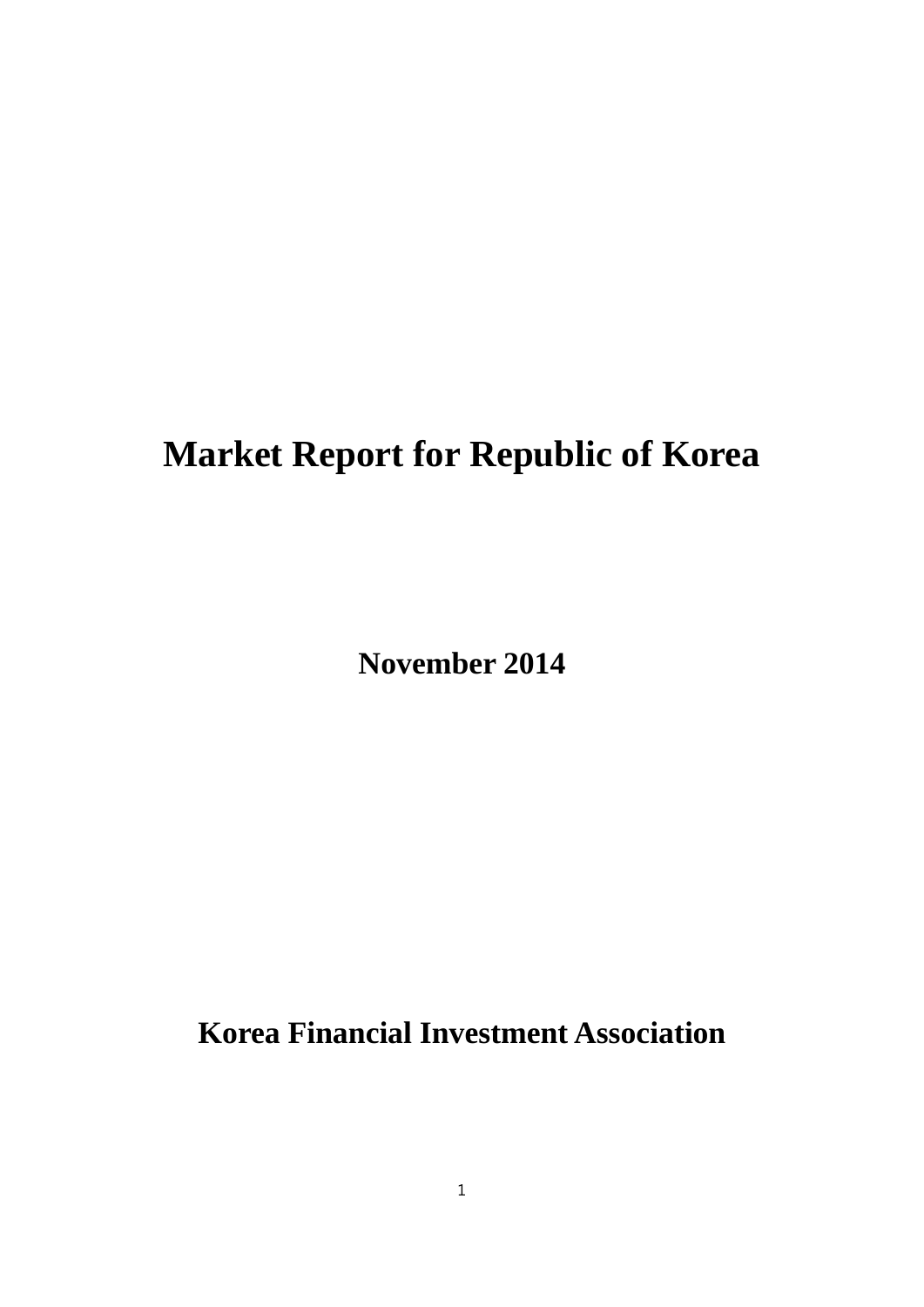# **Market Report for Republic of Korea**

**November 2014**

**Korea Financial Investment Association**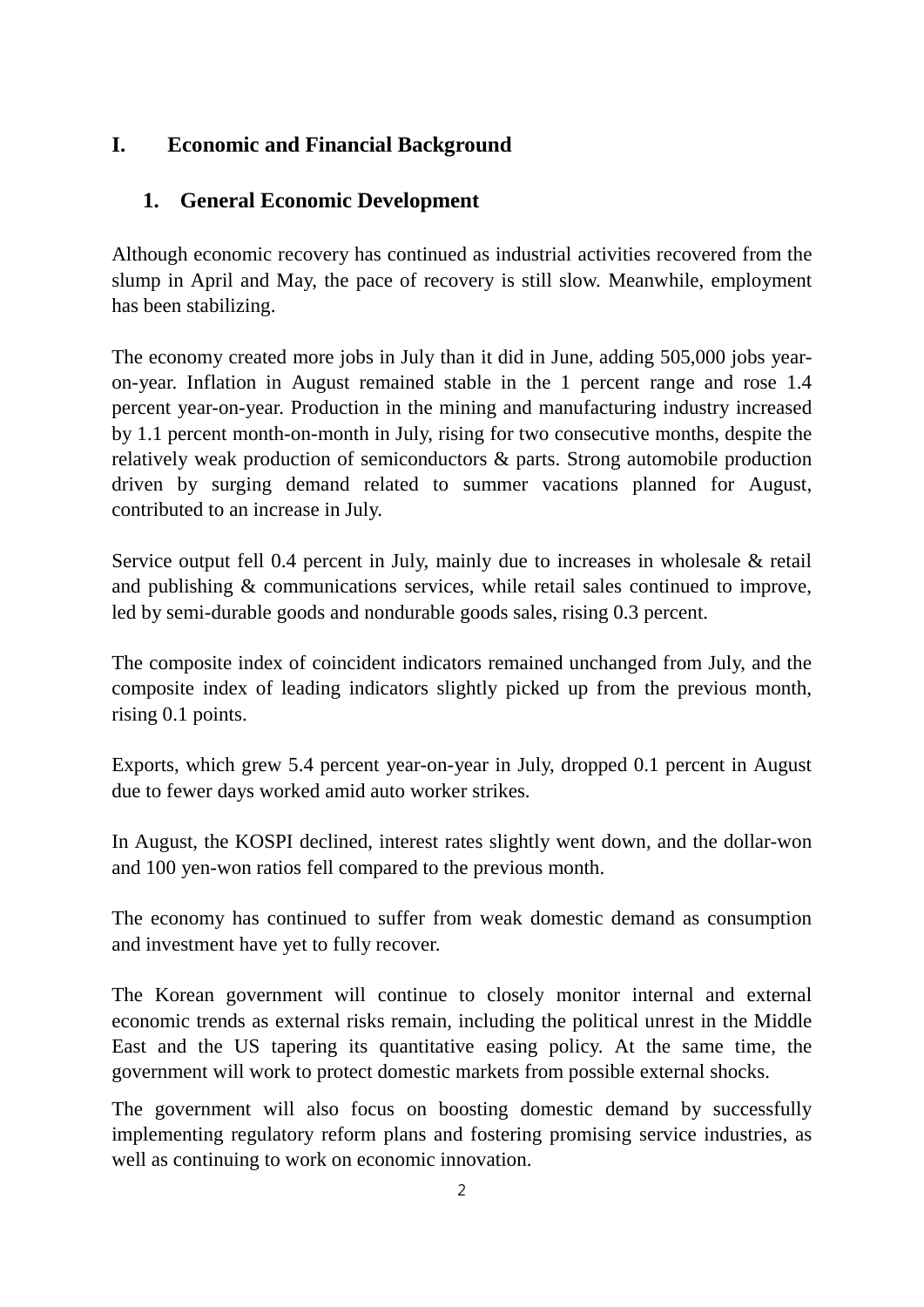## **I. Economic and Financial Background**

## **1. General Economic Development**

Although economic recovery has continued as industrial activities recovered from the slump in April and May, the pace of recovery is still slow. Meanwhile, employment has been stabilizing.

The economy created more jobs in July than it did in June, adding 505,000 jobs yearon-year. Inflation in August remained stable in the 1 percent range and rose 1.4 percent year-on-year. Production in the mining and manufacturing industry increased by 1.1 percent month-on-month in July, rising for two consecutive months, despite the relatively weak production of semiconductors & parts. Strong automobile production driven by surging demand related to summer vacations planned for August, contributed to an increase in July.

Service output fell 0.4 percent in July, mainly due to increases in wholesale & retail and publishing & communications services, while retail sales continued to improve, led by semi-durable goods and nondurable goods sales, rising 0.3 percent.

The composite index of coincident indicators remained unchanged from July, and the composite index of leading indicators slightly picked up from the previous month, rising 0.1 points.

Exports, which grew 5.4 percent year-on-year in July, dropped 0.1 percent in August due to fewer days worked amid auto worker strikes.

In August, the KOSPI declined, interest rates slightly went down, and the dollar-won and 100 yen-won ratios fell compared to the previous month.

The economy has continued to suffer from weak domestic demand as consumption and investment have yet to fully recover.

The Korean government will continue to closely monitor internal and external economic trends as external risks remain, including the political unrest in the Middle East and the US tapering its quantitative easing policy. At the same time, the government will work to protect domestic markets from possible external shocks.

The government will also focus on boosting domestic demand by successfully implementing regulatory reform plans and fostering promising service industries, as well as continuing to work on economic innovation.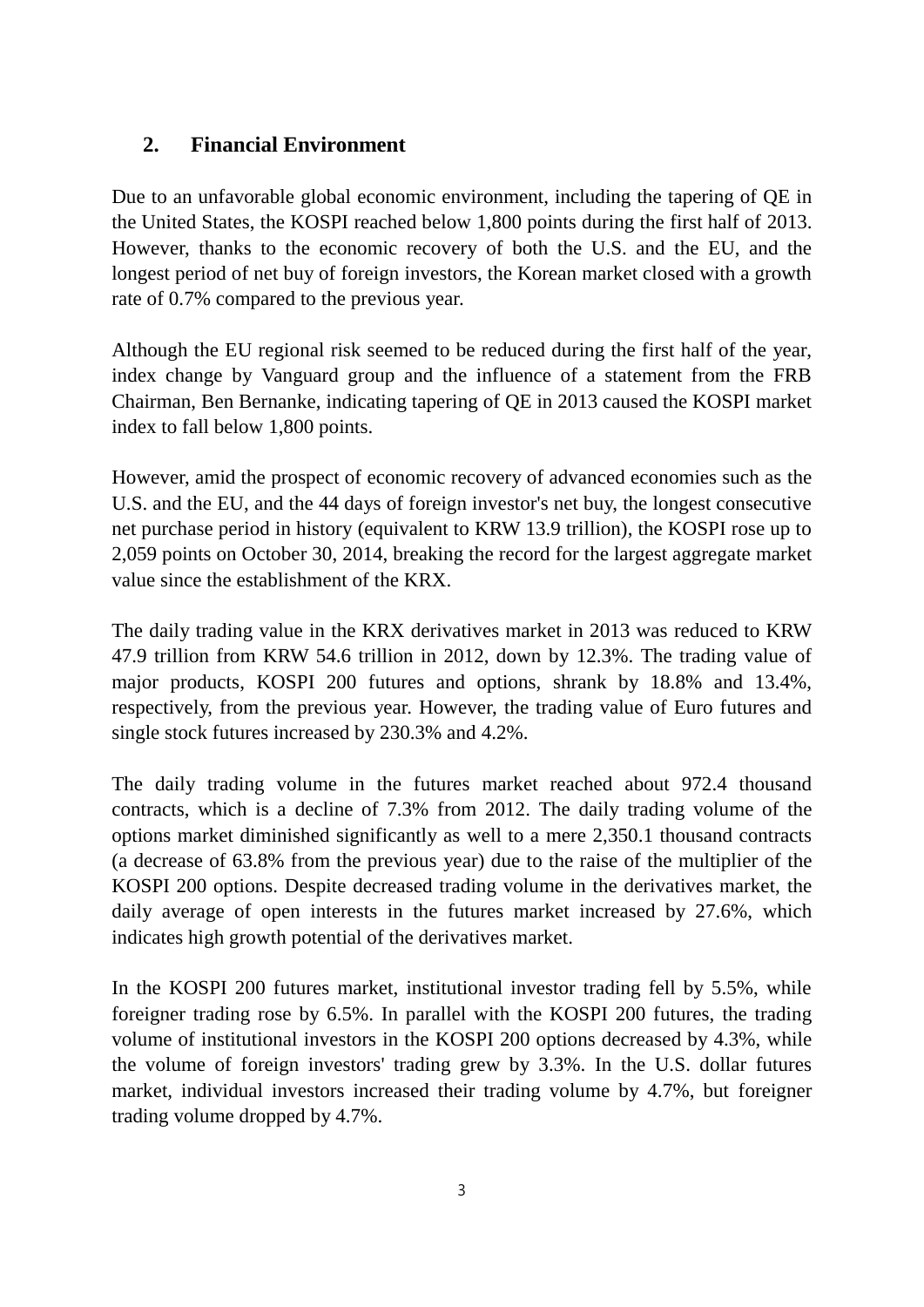## **2. Financial Environment**

Due to an unfavorable global economic environment, including the tapering of QE in the United States, the KOSPI reached below 1,800 points during the first half of 2013. However, thanks to the economic recovery of both the U.S. and the EU, and the longest period of net buy of foreign investors, the Korean market closed with a growth rate of 0.7% compared to the previous year.

Although the EU regional risk seemed to be reduced during the first half of the year, index change by Vanguard group and the influence of a statement from the FRB Chairman, Ben Bernanke, indicating tapering of QE in 2013 caused the KOSPI market index to fall below 1,800 points.

However, amid the prospect of economic recovery of advanced economies such as the U.S. and the EU, and the 44 days of foreign investor's net buy, the longest consecutive net purchase period in history (equivalent to KRW 13.9 trillion), the KOSPI rose up to 2,059 points on October 30, 2014, breaking the record for the largest aggregate market value since the establishment of the KRX.

The daily trading value in the KRX derivatives market in 2013 was reduced to KRW 47.9 trillion from KRW 54.6 trillion in 2012, down by 12.3%. The trading value of major products, KOSPI 200 futures and options, shrank by 18.8% and 13.4%, respectively, from the previous year. However, the trading value of Euro futures and single stock futures increased by 230.3% and 4.2%.

The daily trading volume in the futures market reached about 972.4 thousand contracts, which is a decline of 7.3% from 2012. The daily trading volume of the options market diminished significantly as well to a mere 2,350.1 thousand contracts (a decrease of 63.8% from the previous year) due to the raise of the multiplier of the KOSPI 200 options. Despite decreased trading volume in the derivatives market, the daily average of open interests in the futures market increased by 27.6%, which indicates high growth potential of the derivatives market.

In the KOSPI 200 futures market, institutional investor trading fell by 5.5%, while foreigner trading rose by 6.5%. In parallel with the KOSPI 200 futures, the trading volume of institutional investors in the KOSPI 200 options decreased by 4.3%, while the volume of foreign investors' trading grew by 3.3%. In the U.S. dollar futures market, individual investors increased their trading volume by 4.7%, but foreigner trading volume dropped by 4.7%.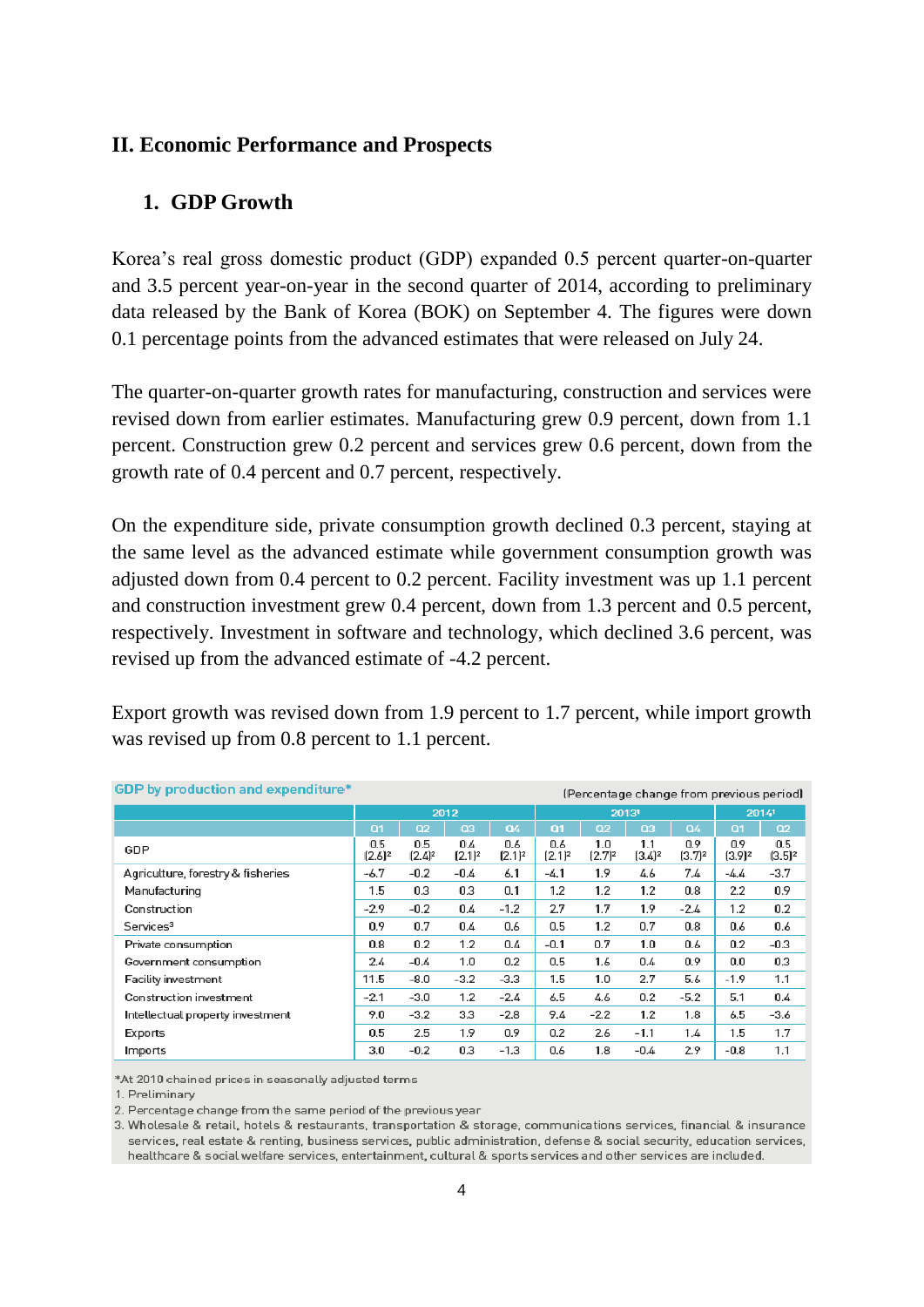#### **II. Economic Performance and Prospects**

#### **1. GDP Growth**

Korea's real gross domestic product (GDP) expanded 0.5 percent quarter-on-quarter and 3.5 percent year-on-year in the second quarter of 2014, according to preliminary data released by the Bank of Korea (BOK) on September 4. The figures were down 0.1 percentage points from the advanced estimates that were released on July 24.

The quarter-on-quarter growth rates for manufacturing, construction and services were revised down from earlier estimates. Manufacturing grew 0.9 percent, down from 1.1 percent. Construction grew 0.2 percent and services grew 0.6 percent, down from the growth rate of 0.4 percent and 0.7 percent, respectively.

On the expenditure side, private consumption growth declined 0.3 percent, staying at the same level as the advanced estimate while government consumption growth was adjusted down from 0.4 percent to 0.2 percent. Facility investment was up 1.1 percent and construction investment grew 0.4 percent, down from 1.3 percent and 0.5 percent, respectively. Investment in software and technology, which declined 3.6 percent, was revised up from the advanced estimate of -4.2 percent.

Export growth was revised down from 1.9 percent to 1.7 percent, while import growth was revised up from 0.8 percent to 1.1 percent.

| <b>GDP</b> by production and expenditure* | (Percentage change from previous period) |                    |                    |                    |                    |                    |                    |                           |                  |                  |
|-------------------------------------------|------------------------------------------|--------------------|--------------------|--------------------|--------------------|--------------------|--------------------|---------------------------|------------------|------------------|
|                                           |                                          |                    | 2012               |                    |                    |                    | 20131              |                           | 20141            |                  |
|                                           | Q1                                       | Q2                 | Q3                 | Q4                 | Q1                 | Q <sub>2</sub>     | Q3                 | Q4                        | Q1               | Q2               |
| GDP                                       | 0.5<br>$[2.6]^{2}$                       | 0.5<br>$[2.4]^{2}$ | 0.4<br>$[2.1]^{2}$ | 0.6<br>$[2.1]^{2}$ | 0.6<br>$[2.1]^{2}$ | 1.0<br>$[2.7]^{2}$ | 1.1<br>$[3.4]^{2}$ | 0.9<br>[3.7] <sup>2</sup> | 0.9<br>$(3.9)^2$ | 0.5<br>$(3.5)^2$ |
| Agriculture, forestry & fisheries         | $-6.7$                                   | $-0.2$             | $-0.4$             | 6.1                | $-4.1$             | 1.9                | 4.6                | 7.4                       | -4.4             | $-3.7$           |
| Manufacturing                             | 1.5                                      | 0.3                | 0.3                | 0.1                | 1.2                | 1.2                | 1.2                | 0.8                       | 2.2              | 0.9              |
| Construction                              | $-2.9$                                   | $-0.2$             | 0.4                | $-1.2$             | 2.7                | 1.7                | 1.9                | $-2.4$                    | 1.2              | 0.2              |
| Services <sup>3</sup>                     | 0.9                                      | 0.7                | 0.4                | 0.6                | 0.5                | 1.2                | 0.7                | 0.8                       | 0.6              | 0.6              |
| Private consumption                       | 0.8                                      | 0.2                | 1.2                | 0.4                | $-0.1$             | 0.7                | 1.0                | 0.6                       | 0.2              | -0.3             |
| Government consumption                    | 2.4                                      | $-0.4$             | 1.0                | 0.2                | 0.5                | 1.6                | 0.4                | 0.9                       | 0.0              | 0.3              |
| Facility investment                       | 11.5                                     | $-8.0$             | $-3.2$             | $-3.3$             | 1.5                | 1.0                | 2.7                | 5.6                       | $-1.9$           | 1.1              |
| Construction investment                   | $-2.1$                                   | $-3.0$             | 1.2                | $-2.4$             | 6.5                | 4.6                | 0.2                | $-5.2$                    | 5.1              | 0.4              |
| Intellectual property investment          | 9.0                                      | $-3.2$             | 3.3                | $-2.8$             | 9.4                | $-2.2$             | 1.2                | 1.8                       | 6.5              | $-3.6$           |
| Exports                                   | 0.5                                      | 2.5                | 1.9                | 0.9                | 0.2                | 2.6                | $-1.1$             | 1.4                       | 1.5              | 1.7              |
| Imports                                   | 3.0                                      | $-0.2$             | 0.3                | $-1.3$             | 0.6                | 1.8                | $-0.4$             | 2.9                       | $-0.8$           | 1.1              |

\*At 2010 chained prices in seasonally adjusted terms

1. Preliminary

2. Percentage change from the same period of the previous year

3. Wholesale & retail, hotels & restaurants, transportation & storage, communications services, financial & insurance services, real estate & renting, business services, public administration, defense & social security, education services, healthcare & social welfare services, entertainment, cultural & sports services and other services are included.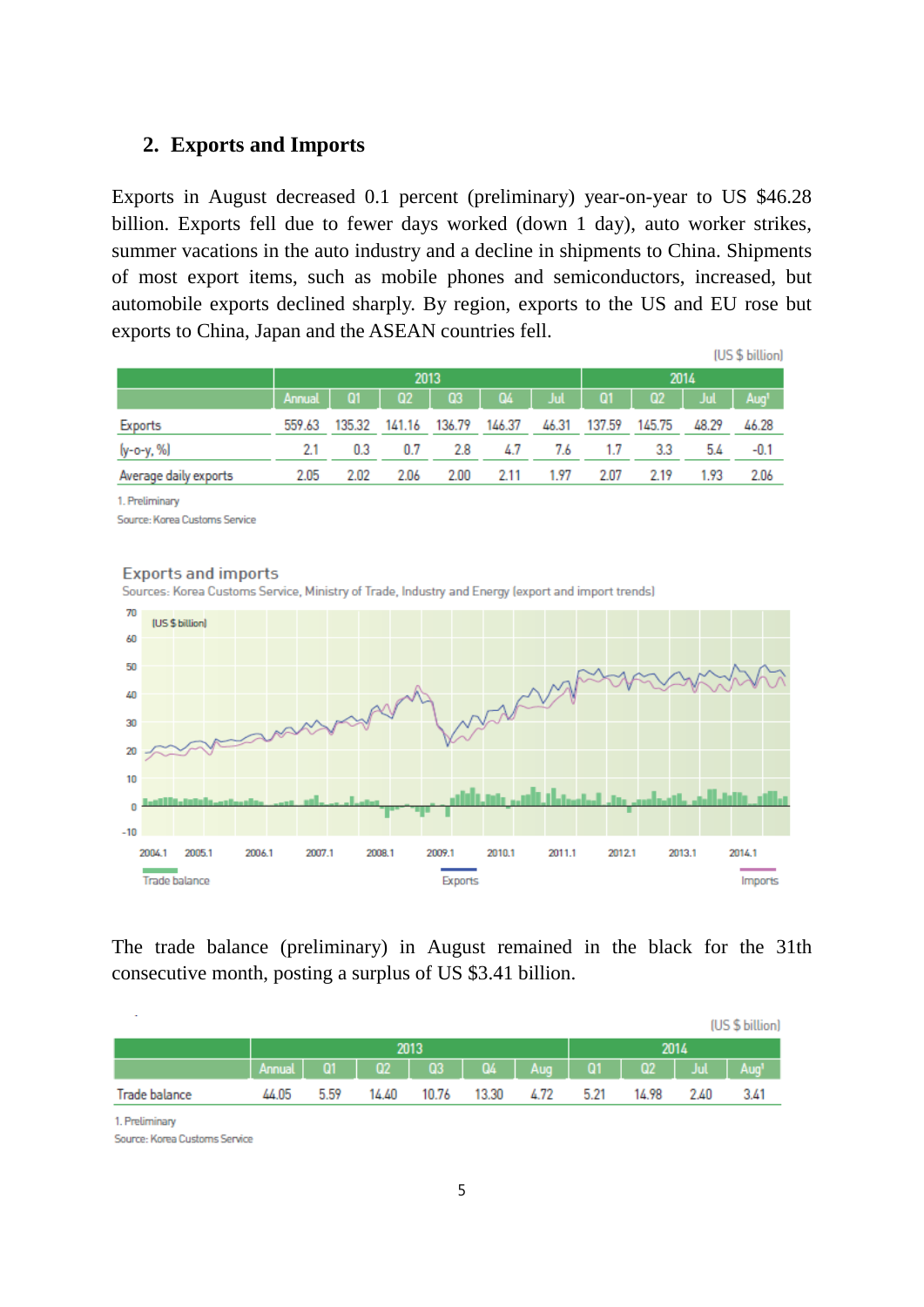#### **2. Exports and Imports**

Exports in August decreased 0.1 percent (preliminary) year-on-year to US \$46.28 billion. Exports fell due to fewer days worked (down 1 day), auto worker strikes, summer vacations in the auto industry and a decline in shipments to China. Shipments of most export items, such as mobile phones and semiconductors, increased, but automobile exports declined sharply. By region, exports to the US and EU rose but exports to China, Japan and the ASEAN countries fell.

|                       |        |        |                |        |        |          |        |                   |       | (US \$ billion)  |  |
|-----------------------|--------|--------|----------------|--------|--------|----------|--------|-------------------|-------|------------------|--|
|                       |        |        |                | 2013   |        | 2014     |        |                   |       |                  |  |
|                       | Annual | Q1     | Q <sub>2</sub> | Q3     |        | $Q4$ Jul |        | $Q1$   $Q2$   Jul |       | Aug <sup>1</sup> |  |
| Exports               | 559.63 | 135.32 | 141.16         | 136.79 | 146.37 | 46.31    | 137.59 | 145.75            | 48.29 | 46.28            |  |
| (y-o-y, %)            | 2.1    | 0.3    | 0.7            | 2.8    | 4.7    | 7.6      | 1.7    | 3.3               | 5.4   | $-0.1$           |  |
| Average daily exports | 2.05   | 2.02   | 2.06           | 2.00   | 2.11   | 1.97     | 2.07   | 2.19              | 1.93  | 2.06             |  |

1. Preliminary

Source: Korea Customs Service



The trade balance (preliminary) in August remained in the black for the 31th consecutive month, posting a surplus of US \$3.41 billion.

| $\sim$        |                                                                      |      |       |       |            |      |       |      | (US \$ billion) |
|---------------|----------------------------------------------------------------------|------|-------|-------|------------|------|-------|------|-----------------|
|               |                                                                      |      |       | 2013  |            |      |       |      |                 |
|               | Annual   01   02   03   04   Aug   01   02   Jul   Aug' <sub>i</sub> |      |       |       |            |      |       |      |                 |
| Trade balance | 44.05                                                                | 5.59 | 14.40 | 10.76 | 13.30 4.72 | 5.21 | 14.98 | 2.40 | 3.41            |

1. Preliminary

Source: Korea Customs Service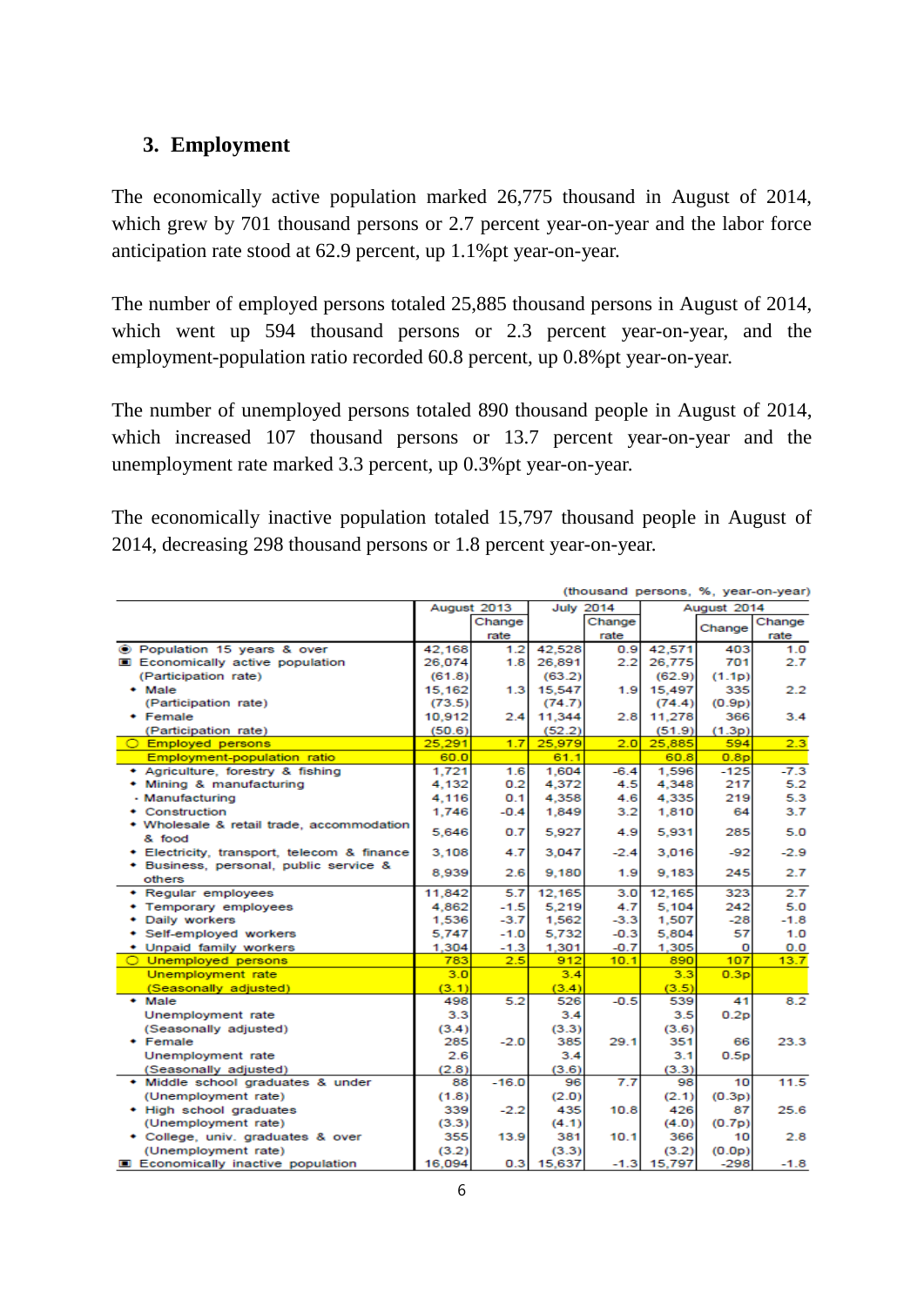## **3. Employment**

The economically active population marked 26,775 thousand in August of 2014, which grew by 701 thousand persons or 2.7 percent year-on-year and the labor force anticipation rate stood at 62.9 percent, up 1.1%pt year-on-year.

The number of employed persons totaled 25,885 thousand persons in August of 2014, which went up 594 thousand persons or 2.3 percent year-on-year, and the employment-population ratio recorded 60.8 percent, up 0.8%pt year-on-year.

The number of unemployed persons totaled 890 thousand people in August of 2014, which increased 107 thousand persons or 13.7 percent year-on-year and the unemployment rate marked 3.3 percent, up 0.3%pt year-on-year.

The economically inactive population totaled 15,797 thousand people in August of 2014, decreasing 298 thousand persons or 1.8 percent year-on-year.

|                                                  |                  |             |                  |             |                        |                               | (thousand persons, %, year-on-year) |
|--------------------------------------------------|------------------|-------------|------------------|-------------|------------------------|-------------------------------|-------------------------------------|
|                                                  |                  | August 2013 | <b>July 2014</b> |             |                        | August 2014                   |                                     |
|                                                  |                  | Change      |                  | Change      |                        | Change                        | Change                              |
| ◉ Population 15 years & over                     |                  | rate<br>1.2 | 42.528           | rate<br>0.9 | 42,571                 | 403                           | rate                                |
| <b>E</b> Economically active population          | 42.168<br>26,074 | 1.8         | 26,891           | 2.2         | 26,775                 | 701                           | 1.0<br>2.7                          |
| (Participation rate)                             |                  |             | (63.2)           |             |                        | (1.1p)                        |                                     |
|                                                  | (61.8)<br>15,162 |             | 15,547           |             | (62.9)<br>15,497       | 335                           | 2.2                                 |
| $\bullet$ Male<br>(Participation rate)           |                  | 1.3         |                  | 1.9         |                        |                               |                                     |
| • Female                                         | (73.5)           |             | (74.7)           |             | (74.4)                 | (0.9p)                        | 3.4                                 |
|                                                  | 10,912           | 2.4         | 11,344           | 2.8         | 11,278                 | 366                           |                                     |
| (Participation rate)                             | (50.6)           | 1.7         | (52.2)<br>25,979 | 2.0         | (51.9)<br>25,885       | (1.3p)<br>594                 | 2.3                                 |
| ◯ Employed persons                               | 25,291           |             |                  |             |                        |                               |                                     |
| Employment-population ratio                      | 60.0             |             | 61.1             |             | 60.8                   | 0.8 <sub>p</sub>              |                                     |
| + Agriculture, forestry & fishing                | 1,721            | 1.6         | 1.604            | $-6.4$      | 1.596                  | $-125$                        | $-7.3$                              |
| • Mining & manufacturing                         | 4,132            | 0.2         | 4,372            | 4.5         | 4,348                  | 217                           | 5.2                                 |
| · Manufacturing                                  | 4.116            | 0.1         | 4.358            | 4.6         | 4,335                  | 219                           | 5.3                                 |
| Construction                                     | 1.746            | $-0.4$      | 1,849            | 3.2         | 1,810                  | 64                            | 3.7                                 |
| • Wholesale & retail trade, accommodation        | 5,646            | 0.7         | 5,927            | 4.9         | 5,931                  | 285                           | 5.0                                 |
| & food                                           |                  |             |                  |             |                        |                               |                                     |
| • Electricity, transport, telecom & finance      | 3.108            | 4.7         | 3.047            | $-2.4$      | 3,016                  | -92                           | $-2.9$                              |
| • Business, personal, public service &<br>others | 8,939            | 2.6         | 9,180            | 1.9         | 9.183                  | 245                           | 2.7                                 |
| • Regular employees                              | 11,842           | 5.7         | 12,165           | 3.0         | 12,165                 | 323                           | 2.7                                 |
| Temporary employees                              | 4.862            | $-1.5$      | 5.219            | 4.7         | 5.104                  | 242                           | 5.0                                 |
| Daily workers                                    | 1,536            | $-3.7$      | 1,562            | $-3.3$      | 1,507                  | $-28$                         | $-1.8$                              |
| Self-employed workers                            | 5.747            | $-1.0$      | 5,732            | $-0.3$      | 5,804                  | 57                            | 1.0                                 |
| • Unpaid family workers                          | 1,304            | $-1.3$      | 1,301            | $-0.7$      | 1,305                  | 0                             |                                     |
| O Unemployed persons                             | 783              | 2.5         | 912              | 10.1        | 890                    | 107                           | 0.0<br>13.7                         |
| Unemployment rate                                | 3.0              |             | 3.4              |             | 3.3                    | 0.3p                          |                                     |
| (Seasonally adjusted)                            | (3.1)            |             | (3.4)            |             | (3.5)                  |                               |                                     |
| $\bullet$ Male                                   | 498              | 5.2         | 526              | $-0.5$      | 539                    | 41                            | 8.2                                 |
| Unemployment rate                                | 3.3              |             | 3.4              |             | 3.5                    | 0.2 <sub>p</sub>              |                                     |
| (Seasonally adjusted)                            | (3.4)            |             | (3.3)            |             | (3.6)                  |                               |                                     |
| • Female                                         | 285              | $-2.0$      | 385              | 29.1        | 351                    | 66                            | 23.3                                |
| Unemployment rate                                | 2.6              |             | 3.4              |             | 3.1                    | 0.5 <sub>D</sub>              |                                     |
| (Seasonally adjusted)                            | (2.8)            |             | (3.6)            |             | (3.3)                  |                               |                                     |
| • Middle school graduates & under                | 88               | $-16.0$     | 96               | 7.7         | 98                     | 10                            | 11.5                                |
| (Unemployment rate)                              | (1.8)            |             | (2.0)            |             | (2.1)                  | (0.3p)                        |                                     |
| • High school graduates                          | 339              | $-2.2$      | 435              | 10.8        | 426                    | 87                            | 25.6                                |
| (Unemployment rate)                              | (3.3)            |             | (4.1)            |             | (4.0)                  | (0.7p)                        |                                     |
| • College, univ. graduates & over                | 355              | 13.9        | 381              | 10.1        | 366                    | 10                            | 2.8                                 |
| (Unemployment rate)                              |                  |             |                  |             |                        |                               |                                     |
| <b>E</b> Economically inactive population        | (3.2)<br>16,094  | 0.3         | (3.3)<br>15,637  |             | (3.2)<br>$-1.3$ 15,797 | (0.0 <sub>p</sub> )<br>$-298$ |                                     |
|                                                  |                  |             |                  |             |                        |                               | -1.8                                |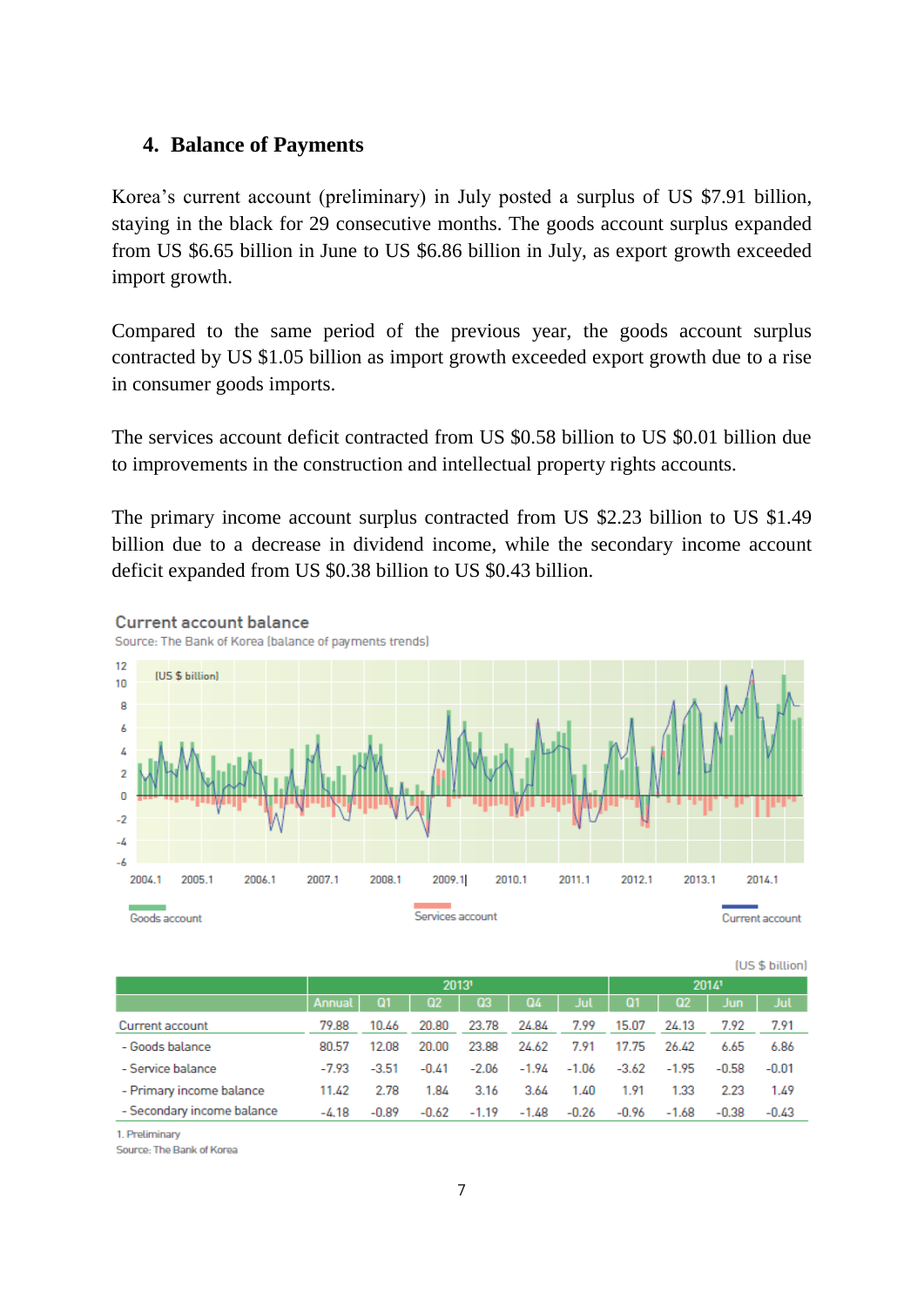## **4. Balance of Payments**

Korea's current account (preliminary) in July posted a surplus of US \$7.91 billion, staying in the black for 29 consecutive months. The goods account surplus expanded from US \$6.65 billion in June to US \$6.86 billion in July, as export growth exceeded import growth.

Compared to the same period of the previous year, the goods account surplus contracted by US \$1.05 billion as import growth exceeded export growth due to a rise in consumer goods imports.

The services account deficit contracted from US \$0.58 billion to US \$0.01 billion due to improvements in the construction and intellectual property rights accounts.

The primary income account surplus contracted from US \$2.23 billion to US \$1.49 billion due to a decrease in dividend income, while the secondary income account deficit expanded from US \$0.38 billion to US \$0.43 billion.



**Current account balance** 

**fus \$ billionl** 

|                            |         |           | 20131          |         |         |         | 20141   |         |            |         |  |
|----------------------------|---------|-----------|----------------|---------|---------|---------|---------|---------|------------|---------|--|
|                            | Annual  | <b>Q1</b> | Q <sub>2</sub> | Q3      | Q4      | Jul     | Q1      | Q2      | <b>Jun</b> | Jul 1   |  |
| Current account            | 79.88   | 10.46     | 20.80          | 23.78   | 24.84   | 7.99    | 15.07   | 24.13   | 7.92       | 7.91    |  |
| - Goods balance            | 80.57   | 12.08     | 20.00          | 23.88   | 24.62   | 7.91    | 17.75   | 26.42   | 6.65       | 6.86    |  |
| - Service balance          | $-7.93$ | $-3.51$   | $-0.41$        | $-2.06$ | $-1.94$ | $-1.06$ | $-3.62$ | $-1.95$ | $-0.58$    | $-0.01$ |  |
| - Primary income balance   | 11.42   | 2.78      | 1.84           | 3.16    | 3.64    | 1.40    | 1.91    | 1.33    | 2.23       | 1.49    |  |
| - Secondary income balance | $-4.18$ | $-0.89$   | $-0.62$        | $-1.19$ | $-1.48$ | $-0.26$ | $-0.96$ | $-1.68$ | $-0.38$    | $-0.43$ |  |
|                            |         |           |                |         |         |         |         |         |            |         |  |

1 Preliminary

Source: The Bank of Korea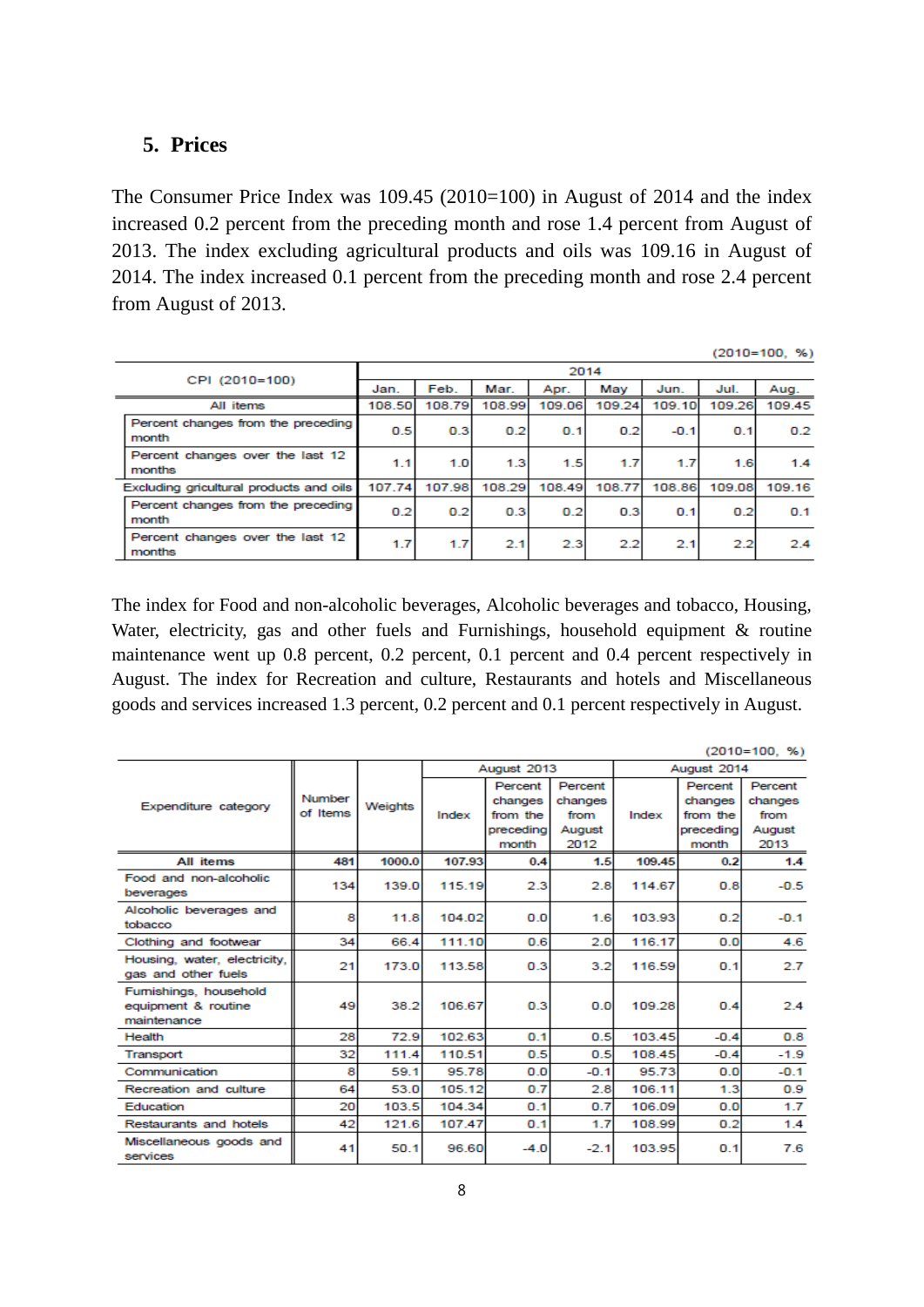#### **5. Prices**

The Consumer Price Index was 109.45 (2010=100) in August of 2014 and the index increased 0.2 percent from the preceding month and rose 1.4 percent from August of 2013. The index excluding agricultural products and oils was 109.16 in August of 2014. The index increased 0.1 percent from the preceding month and rose 2.4 percent from August of 2013.

 $(2010=100, %)$ 

| CPI (2010=100)                              |        |                  |        | 2014   |                  |        |        |        |
|---------------------------------------------|--------|------------------|--------|--------|------------------|--------|--------|--------|
|                                             | Jan.   | Feb.             | Mar.   | Apr.   | May              | Jun.   | Jul.   | Aug.   |
| All items                                   | 108,50 | 108.79           | 108.99 | 109.06 | 109.24           | 109.10 | 109.26 | 109.45 |
| Percent changes from the preceding<br>month | 0.5    | 0.3 <sub>1</sub> | 0.2    | 0.1    | 0.2              | $-0.1$ | 0.1    | 0.2    |
| Percent changes over the last 12<br>months  | 1.1    | 1.0              | 1.3    | 1.5    | 1.7              | 1.7    | 1.6    | 1.4    |
| Excluding gricultural products and oils     | 107.74 | 107.98           | 108.29 | 108.49 | 108.77           | 108.86 | 109.08 | 109.16 |
| Percent changes from the preceding<br>month | 0.2    | 0.2              | 0.3    | 0.2    | 0.3 <sub>1</sub> | 0.1    | 0.2    | 0.1    |
| Percent changes over the last 12<br>months  | 1.7    | 1.7              | 2.1    | 2.3    | 2.2              | 2.1    | 2.2    | 24     |

The index for Food and non-alcoholic beverages, Alcoholic beverages and tobacco, Housing, Water, electricity, gas and other fuels and Furnishings, household equipment & routine maintenance went up 0.8 percent, 0.2 percent, 0.1 percent and 0.4 percent respectively in August. The index for Recreation and culture, Restaurants and hotels and Miscellaneous goods and services increased 1.3 percent, 0.2 percent and 0.1 percent respectively in August.

| $(2010=100, %)$                                              |          |         |        |                    |                |        |                     |                |  |  |
|--------------------------------------------------------------|----------|---------|--------|--------------------|----------------|--------|---------------------|----------------|--|--|
|                                                              |          |         |        | August 2013        |                |        | August 2014         |                |  |  |
|                                                              |          |         |        | Percent            | Percent        |        | Percent             | Percent        |  |  |
| Expenditure category                                         | Number   | Weights |        | changes            | changes        |        | changes             | changes        |  |  |
|                                                              | of Items |         | Index  | from the           | from           | Index  | from the            | from           |  |  |
|                                                              |          |         |        | precedina<br>month | August<br>2012 |        | precedinal<br>month | August<br>2013 |  |  |
| <b>All items</b>                                             | 481      | 1000.0  | 107.93 | 0.4                | 1.5            | 109.45 | 0.2                 | 1.4            |  |  |
| Food and non-alcoholic                                       |          |         |        |                    |                |        |                     |                |  |  |
| beverages                                                    | 134      | 139.0   | 115.19 | 2.3                | 2.8            | 114.67 | 0.8                 | $-0.5$         |  |  |
| Alcoholic beverages and<br>tobacco                           | 8        | 11.8    | 104.02 | 0.0                | 1.6            | 103.93 | 0.2                 | $-0.1$         |  |  |
| Clothing and footwear                                        | 34       | 66.4    | 111.10 | 0.6                | 2.0            | 116.17 | 0.0                 | 4.6            |  |  |
| Housing, water, electricity,<br>gas and other fuels          | 21       | 173.0   | 113.58 | 0.3                | 3.2            | 116.59 | 0.1                 | 2.7            |  |  |
| Furnishings, household<br>equipment & routine<br>maintenance | 49       | 38.2    | 106.67 | 0.3                | 0.0            | 109.28 | 0.4                 | 24             |  |  |
| <b>Health</b>                                                | 28       | 72.9    | 102.63 | 0.1                | 0.5            | 103.45 | $-0.4$              | 0.8            |  |  |
| Transport                                                    | 32       | 111.4   | 110.51 | 0.5 <sub>1</sub>   | 0.5            | 108.45 | $-0.4$              | $-1.9$         |  |  |
| Communication                                                | 8        | 59.1    | 95.78  | 0.0                | $-0.1$         | 95.73  | 0.0                 | $-0.1$         |  |  |
| Recreation and culture                                       | 64       | 53.0    | 105.12 | 0.7                | 2.8            | 106.11 | 1.3                 | 0.9            |  |  |
| Education                                                    | 20       | 103.5   | 104.34 | 0.1                | 0.7            | 106.09 | 0.0                 | 1.7            |  |  |
| Restaurants and hotels                                       | 42       | 121.6   | 107.47 | 0.1                | 1.7            | 108.99 | 0.2                 | 1.4            |  |  |
| Miscellaneous goods and<br>services                          | 41       | 50.1    | 96.60  | $-4.0$             | $-2.1$         | 103.95 | 0.1                 | 7.6            |  |  |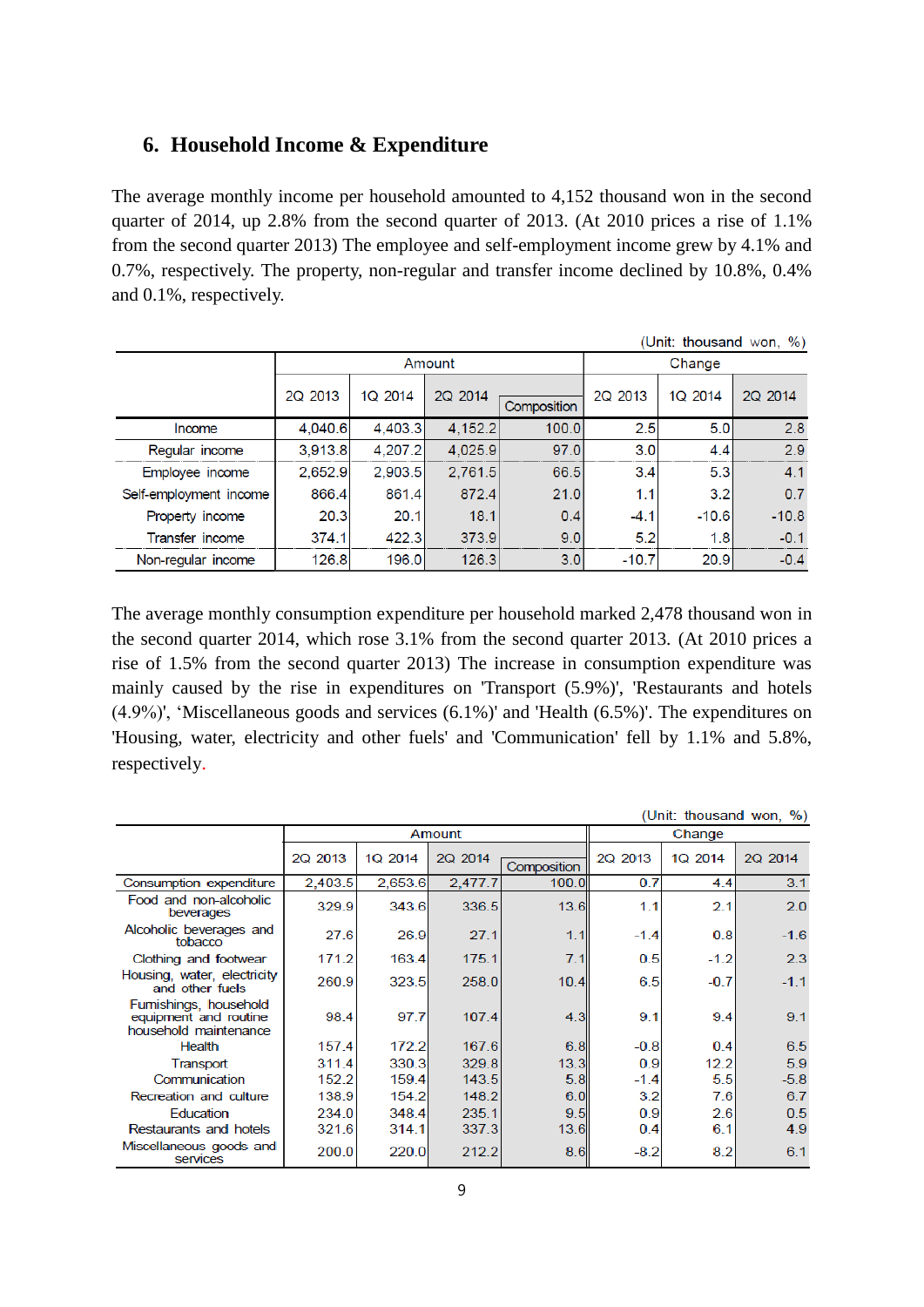#### **6. Household Income & Expenditure**

The average monthly income per household amounted to 4,152 thousand won in the second quarter of 2014, up 2.8% from the second quarter of 2013. (At 2010 prices a rise of 1.1% from the second quarter 2013) The employee and self-employment income grew by 4.1% and 0.7%, respectively. The property, non-regular and transfer income declined by 10.8%, 0.4% and 0.1%, respectively.

| (Unit: thousand won, %) |         |         |         |             |         |         |         |  |  |  |  |  |  |
|-------------------------|---------|---------|---------|-------------|---------|---------|---------|--|--|--|--|--|--|
|                         |         |         | Amount  |             | Change  |         |         |  |  |  |  |  |  |
|                         | 2Q 2013 | 1Q 2014 | 2Q 2014 | Composition | 2Q 2013 | 1Q 2014 | 2Q 2014 |  |  |  |  |  |  |
| Income                  | 4.040.6 | 4.403.3 | 4.152.2 | 100.0       | 2.5     | 5.0     | 2.8     |  |  |  |  |  |  |
| Regular income          | 3,913.8 | 4,207.2 | 4,025.9 | 97.0        | 3.0     | 4.4     | 2.9     |  |  |  |  |  |  |
| Employee income         | 2.652.9 | 2.903.5 | 2,761.5 | 66.5        | 3.4     | 5.3     | 4.1     |  |  |  |  |  |  |
| Self-employment income  | 866.4   | 861.4   | 872.4   | 21.0        | 1.1     | 3.2     | 0.7     |  |  |  |  |  |  |
| Property income         | 20.3    | 20.1    | 18.1    | 0.4         | $-4.1$  | $-10.6$ | $-10.8$ |  |  |  |  |  |  |
| Transfer income         | 374.1   | 422.3   | 373.9   | 9.0         | 5.2     | 1.8     | $-0.1$  |  |  |  |  |  |  |
| Non-regular income      | 126.8   | 196.0   | 126.3   | 3.0         | $-10.7$ | 20.9    | $-0.4$  |  |  |  |  |  |  |

The average monthly consumption expenditure per household marked 2,478 thousand won in the second quarter 2014, which rose 3.1% from the second quarter 2013. (At 2010 prices a rise of 1.5% from the second quarter 2013) The increase in consumption expenditure was mainly caused by the rise in expenditures on 'Transport (5.9%)', 'Restaurants and hotels (4.9%)', 'Miscellaneous goods and services (6.1%)' and 'Health (6.5%)'. The expenditures on 'Housing, water, electricity and other fuels' and 'Communication' fell by 1.1% and 5.8%, respectively.

|                                                                         |         |         |         |             |         |         | (Unit: thousand won, %) |
|-------------------------------------------------------------------------|---------|---------|---------|-------------|---------|---------|-------------------------|
|                                                                         |         |         | Amount  |             |         | Change  |                         |
|                                                                         | 2Q 2013 | 1Q 2014 | 2Q 2014 | Composition | 2Q 2013 | 1Q 2014 | 2Q 2014                 |
| Consumption expenditure                                                 | 2,403.5 | 2,653.6 | 2,477.7 | 100.0       | 0.7     | 4.4     | 3.1                     |
| Food and non-alcoholic<br>beverages                                     | 329.9   | 343.6   | 336.5   | 13.6        | 1.1     | 2.1     | 2.0                     |
| Alcoholic beverages and<br>tobacco                                      | 27.6    | 26.9    | 27.1    | 1.1         | $-1.4$  | 0.8     | $-1.6$                  |
| Clothing and footwear                                                   | 171.2   | 163.4   | 175.1   | 7.1         | 0.5     | $-1.2$  | 2.3                     |
| Housing, water, electricity<br>and other fuels                          | 260.9   | 323.5   | 258.0   | 10.4        | 6.5     | $-0.7$  | $-1.1$                  |
| Fumishings, household<br>equipment and routine<br>household maintenance | 98.4    | 97.7    | 107.4   | 4.3         | 9.1     | 9.4     | 9.1                     |
| Health                                                                  | 157.4   | 172.2   | 167.6   | 6.8         | $-0.8$  | 0.4     | 6.5                     |
| Transport                                                               | 311.4   | 330.3   | 329.8   | 13.3        | 0.9     | 12.2    | 5.9                     |
| Communication                                                           | 152.2   | 159.4   | 143.5   | 5.8         | $-1.4$  | 5.5     | $-5.8$                  |
| Recreation and culture                                                  | 138.9   | 154.2   | 148.2   | 6.0         | 3.2     | 7.6     | 6.7                     |
| Education                                                               | 234.0   | 348.4   | 235.1   | 9.5         | 0.9     | 2.6     | 0.5                     |
| Restaurants and hotels                                                  | 321.6   | 314.1   | 337.3   | 13.6        | 0.4     | 6.1     | 4.9                     |
| Miscellaneous goods and<br>services                                     | 200.0   | 220.0   | 212.2   | 8.6         | $-8.2$  | 8.2     | 6.1                     |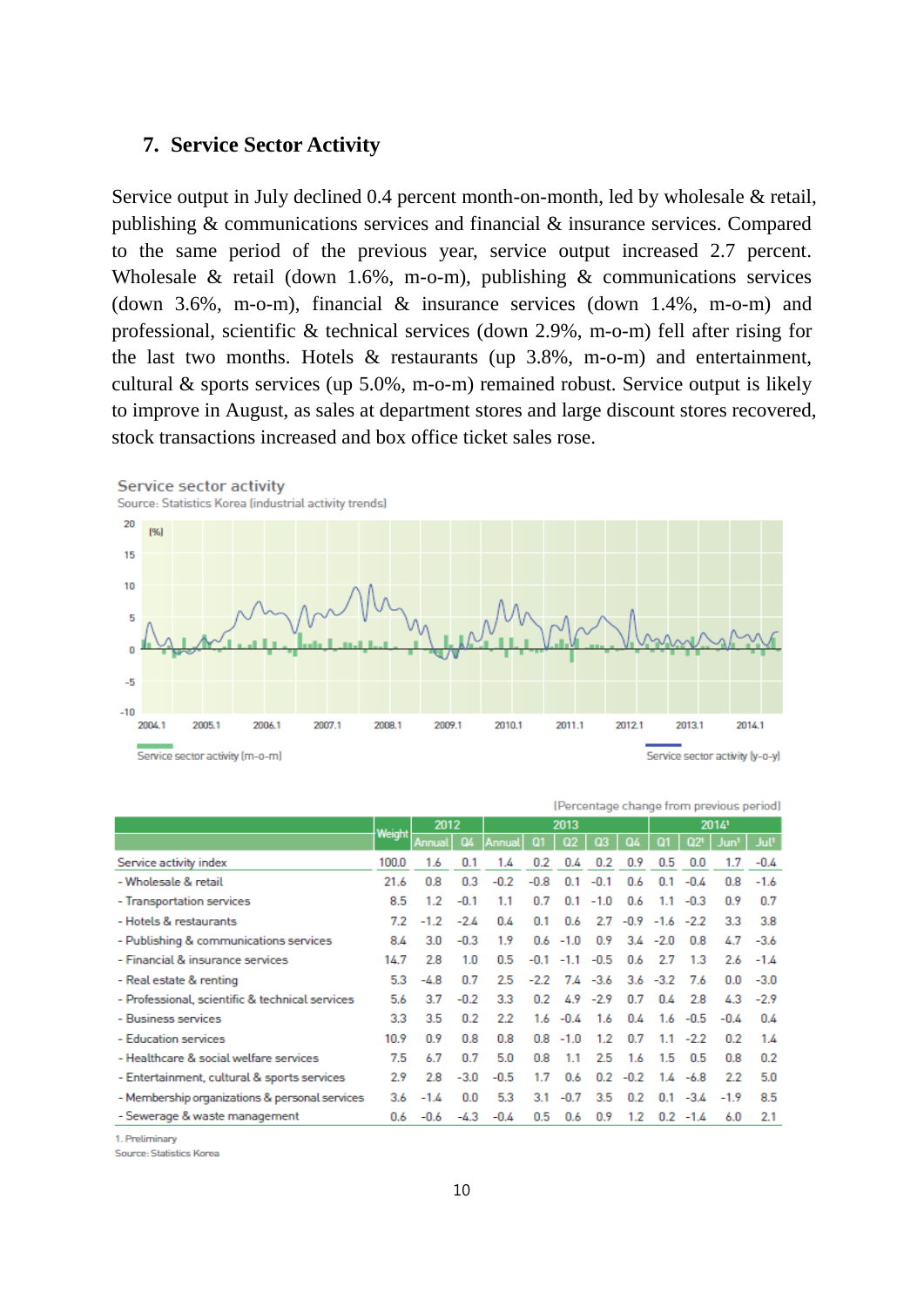#### **7. Service Sector Activity**

Service output in July declined 0.4 percent month-on-month, led by wholesale & retail, publishing & communications services and financial & insurance services. Compared to the same period of the previous year, service output increased 2.7 percent. Wholesale & retail (down 1.6%, m-o-m), publishing & communications services (down 3.6%, m-o-m), financial & insurance services (down 1.4%, m-o-m) and professional, scientific & technical services (down 2.9%, m-o-m) fell after rising for the last two months. Hotels  $\&$  restaurants (up 3.8%, m-o-m) and entertainment, cultural & sports services (up 5.0%, m-o-m) remained robust. Service output is likely to improve in August, as sales at department stores and large discount stores recovered, stock transactions increased and box office ticket sales rose.



| (Percentage change from previous period)        |        |        |        |        |        |                            |        |                         |             |             |                  |                  |
|-------------------------------------------------|--------|--------|--------|--------|--------|----------------------------|--------|-------------------------|-------------|-------------|------------------|------------------|
|                                                 | Weight | 2012   |        |        |        | 2013                       |        |                         |             |             | 20141            |                  |
|                                                 |        | Annual | œ      | Annual |        | Q <sub>2</sub>             | Q3     | AQ.                     | 01          | Q2          | Jun <sup>1</sup> | Jul <sup>1</sup> |
| Service activity index                          | 100.0  | 1.6    | 0.1    | 1.4    | 0.2    | 0.4                        | 0.2    | 0.9                     | 0.5         | 0.0         |                  | $-0.4$           |
| - Wholesale & retail                            | 21.6   | 0.8    | 0.3    | $-0.2$ | $-0.8$ | 0.1                        | $-0.1$ | 0.6                     | 0.1         | $-0.4$      | 0.8              | $-1.6$           |
| - Transportation services                       | 8.5    | 1.2    | $-0.1$ | 1.1    | 0.7    | 0.1                        | $-1.0$ | 0.6                     | 1.1         | $-0.3$      | 0.9              | 0.7              |
| - Hotels & restaurants                          | 7.2    | $-1.2$ | $-2.4$ | 0.4    | 0.1    | 0.6                        |        | $2.7 - 0.9 - 1.6 - 2.2$ |             |             | 33               | 3.8              |
| - Publishing & communications services          | 8.4    | 3.0    | $-0.3$ | 1.9    |        | $0.6 - 1.0$                | 0.9    |                         | $3.4 - 2.0$ | 0.8         | 47               | $-3.6$           |
| - Financial & insurance services                | 14.7   | 2.8    | 1.0    | 0.5    | $-0.1$ | $-1.1$                     | $-0.5$ | 0.6                     | 27          | 1.3         | 2.6              | $-1.4$           |
| - Real estate & renting                         | 5.3    | $-4.8$ | 0.7    | 2.5    |        | $-2.2$ 7.4 $-3.6$          |        |                         | $3.6 - 3.2$ | 7.6         | 0.0              | $-3.0$           |
| - Professional, scientific & technical services | 5.6    | 3.7    | $-0.2$ | 3.3    |        | $0.2 \quad 4.9 \quad -2.9$ |        | 0.7                     | 0.4         | 2.8         | 43               | $-2.9$           |
| - Business services                             | 3.3    | 3.5    | 0.2    | 2.2    |        | $1.6 - 0.4$                | 1.6    | 0.4                     |             | $1.6 - 0.5$ | $-0.4$           | 0.4              |
| - Education services                            | 10.9   | 0.9    | 0.8    | 0.8    |        | $0.8 - 1.0$                | 1.2    | 0.7                     | 1.1         | $-2.2$      | 0.2              | 1.4              |
| - Healthcare & social welfare services          | 7.5    | 6.7    | 0.7    | 5.0    | 0.8    | 1.1                        | 2.5    | 1.6                     | 1.5         | 0.5         | 0.8              | 0.2              |
| - Entertainment, cultural & sports services     | 2.9    | 2.8    | $-3.0$ | $-0.5$ | 1.7    | 0.6                        |        | $0.2 - 0.2$             |             | $1.4 - 6.8$ | 22               | 5.0              |
| - Membership organizations & personal services  | 3.6    | $-1.4$ | 0.0    | 5.3    | 3.1    | $-0.7$                     | 3.5    | 0.2                     |             | $0.1 - 3.4$ | $-1.9$           | 8.5              |
| - Sewerage & waste management                   | 0.6    | $-0.6$ | -4.3   | $-0.4$ | 0.5    | 0.6                        | 0.9    | 1.2                     |             | $0.2 -1.4$  | 6.0              | 2.1              |

1 Preliminary

Source: Statistics Korea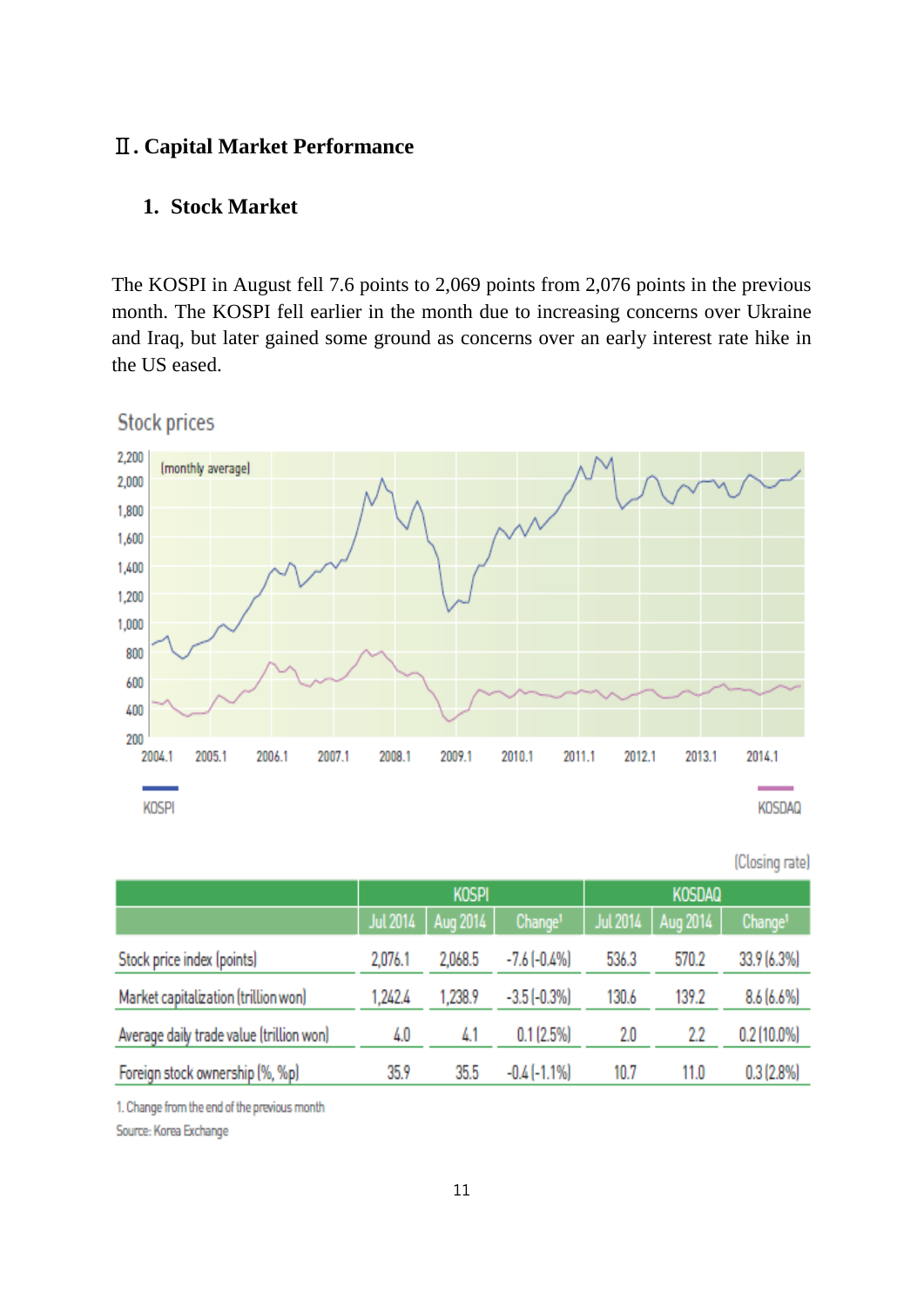## Ⅱ**. Capital Market Performance**

#### **1. Stock Market**

The KOSPI in August fell 7.6 points to 2,069 points from 2,076 points in the previous month. The KOSPI fell earlier in the month due to increasing concerns over Ukraine and Iraq, but later gained some ground as concerns over an early interest rate hike in the US eased.

**Stock prices** 



|                                          |         |                     |                     |          |               | (Closing rate)      |
|------------------------------------------|---------|---------------------|---------------------|----------|---------------|---------------------|
|                                          |         | <b>KOSPI</b>        |                     |          | <b>KOSDAQ</b> |                     |
|                                          |         | Jul 2014   Aug 2014 | Change <sup>1</sup> | Jul 2014 | Aug 2014      | Change <sup>1</sup> |
| Stock price index (points)               | 2,076.1 | 2,068.5             | $-7.6$ $(-0.4%$     | 536.3    | 570.2         | 33.9 (6.3%)         |
| Market capitalization (trillion won)     | 1,242.4 | 1,238.9             | $-3.5$ $(-0.3%)$    | 130.6    | 139.2         | 8.6(6.6%)           |
| Average daily trade value (trillion won) | 4.0     | 4.1                 | 0.1(2.5%)           | 2.0      | 2.2           | $0.2$ (10.0%)       |

1. Change from the end of the previous month

Foreign stock ownership (%, %p)

Source: Korea Exchange

35.5

 $-0.4$   $(-1.1\%)$ 

10.7

11.0

 $0.3(2.8\%)$ 

35.9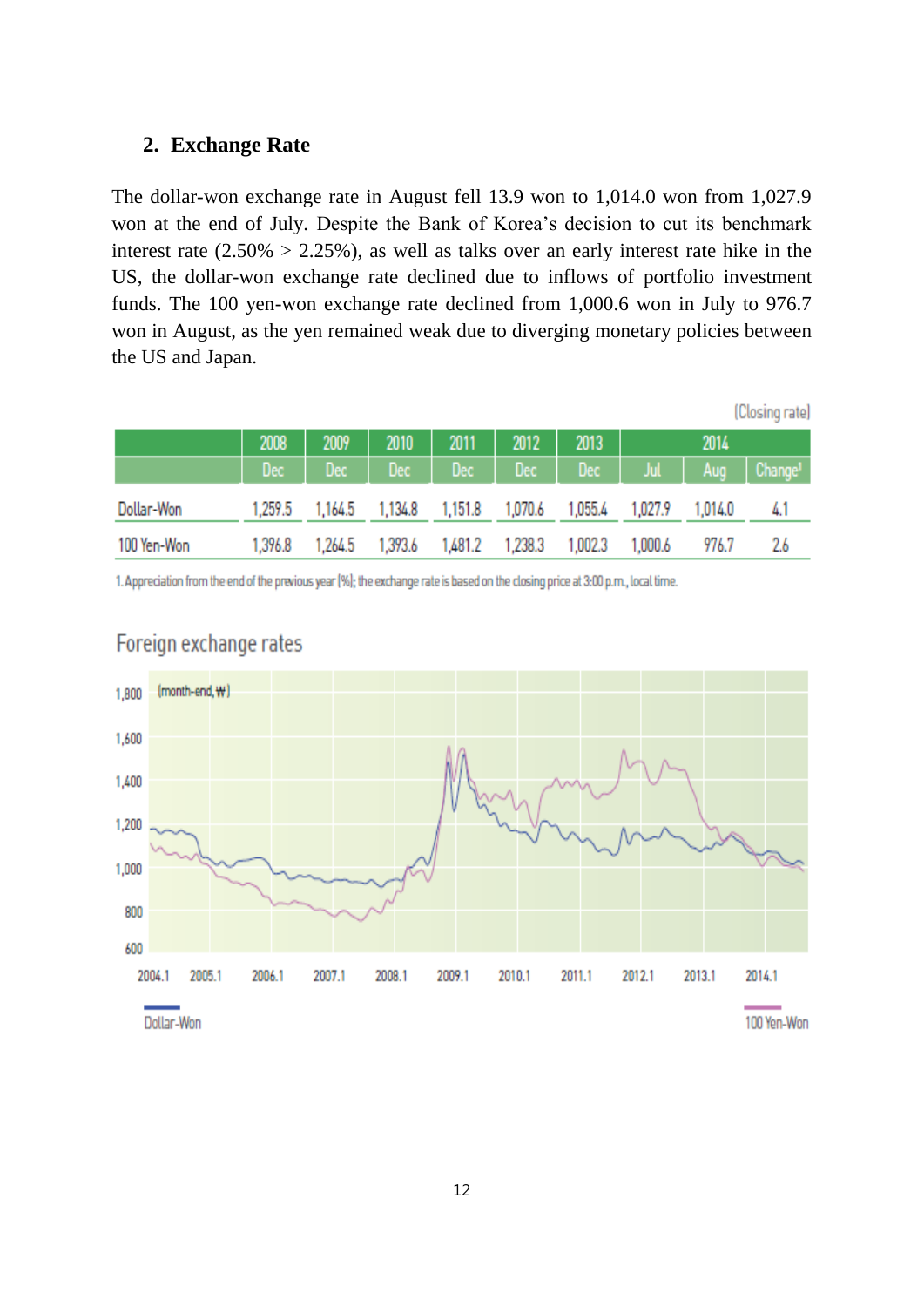#### **2. Exchange Rate**

The dollar-won exchange rate in August fell 13.9 won to 1,014.0 won from 1,027.9 won at the end of July. Despite the Bank of Korea's decision to cut its benchmark interest rate  $(2.50\% > 2.25\%)$ , as well as talks over an early interest rate hike in the US, the dollar-won exchange rate declined due to inflows of portfolio investment funds. The 100 yen-won exchange rate declined from 1,000.6 won in July to 976.7 won in August, as the yen remained weak due to diverging monetary policies between the US and Japan.

|             |         |             |         |         |         |         |           |         | (Closing rate)          |
|-------------|---------|-------------|---------|---------|---------|---------|-----------|---------|-------------------------|
|             | 2008    | 2009        | 2010    | 2011    | 2012    | 2013    |           | 2014    |                         |
|             | Dec -   | $Dec \ \  $ | Dec     | $Dec$   | Dec     | A Dec   | - Jul - I | Aug     | $ $ Change <sup>1</sup> |
| Dollar-Won  | 1,259.5 | 1,164.5     | 1,134.8 | 1,151.8 | 1,070.6 | 1,055.4 | 1,027.9   | 1,014.0 | 4.1                     |
| 100 Yen-Won | 1,396.8 | 1,264.5     | 1,393.6 | 1,481.2 | 1,238.3 | 1,002.3 | 1,000.6   | 976.7   | 2.6                     |

1. Appreciation from the end of the previous year (%); the exchange rate is based on the closing price at 3:00 p.m., local time.



## Foreign exchange rates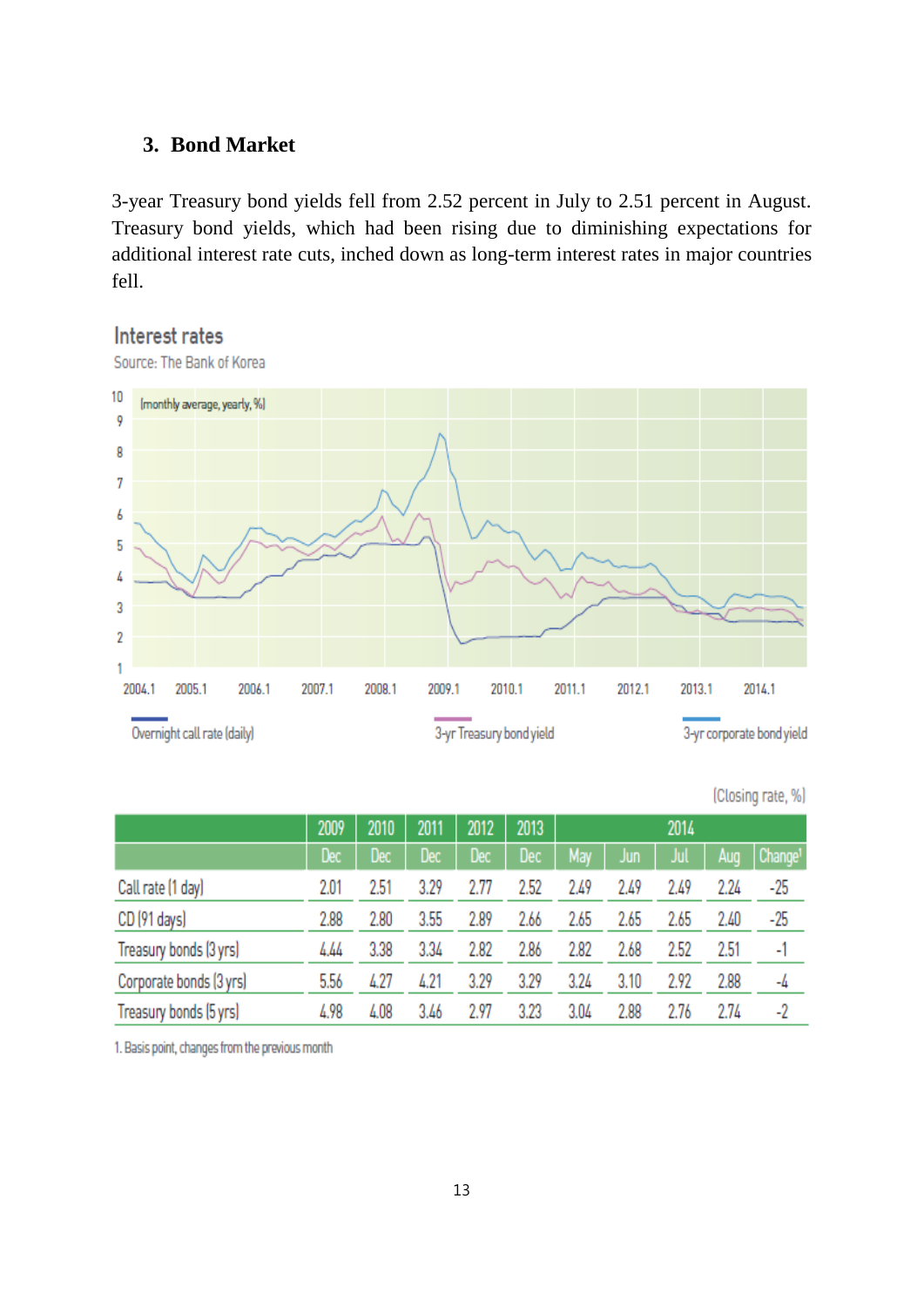### **3. Bond Market**

3-year Treasury bond yields fell from 2.52 percent in July to 2.51 percent in August. Treasury bond yields, which had been rising due to diminishing expectations for additional interest rate cuts, inched down as long-term interest rates in major countries fell.

## Interest rates



Source: The Bank of Korea

|                         | 2009 | 2010       | 2011       | 2012       | 2013 |      |      | 2014 |      |                     |
|-------------------------|------|------------|------------|------------|------|------|------|------|------|---------------------|
|                         | Dec  | <b>Dec</b> | <b>Dec</b> | <b>Dec</b> | Dec  | May  | Jun  | Jul  | Aug  | Change <sup>1</sup> |
| Call rate (1 day)       | 2.01 | 2.51       | 3.29       | 2.77       | 2.52 | 2.49 | 2.49 | 2.49 | 2.24 | -25                 |
| CD (91 days)            | 2.88 | 2.80       | 3.55       | 2.89       | 2.66 | 2.65 | 2.65 | 2.65 | 2.40 | -25                 |
| Treasury bonds (3 yrs)  | 4.44 | 3.38       | 3.34       | 2.82       | 2.86 | 2.82 | 2.68 | 2.52 | 2.51 | -1                  |
| Corporate bonds (3 yrs) | 5.56 | 4.27       | 4.21       | 3.29       | 3.29 | 3.24 | 3.10 | 2.92 | 2.88 | -4                  |
| Treasury bonds (5 yrs)  | 4.98 | 4.08       | 3.46       | 2.97       | 3.23 | 3.04 | 2.88 | 2.76 | 2.74 | -2                  |

(Closing rate, %)

1. Basis point, changes from the previous month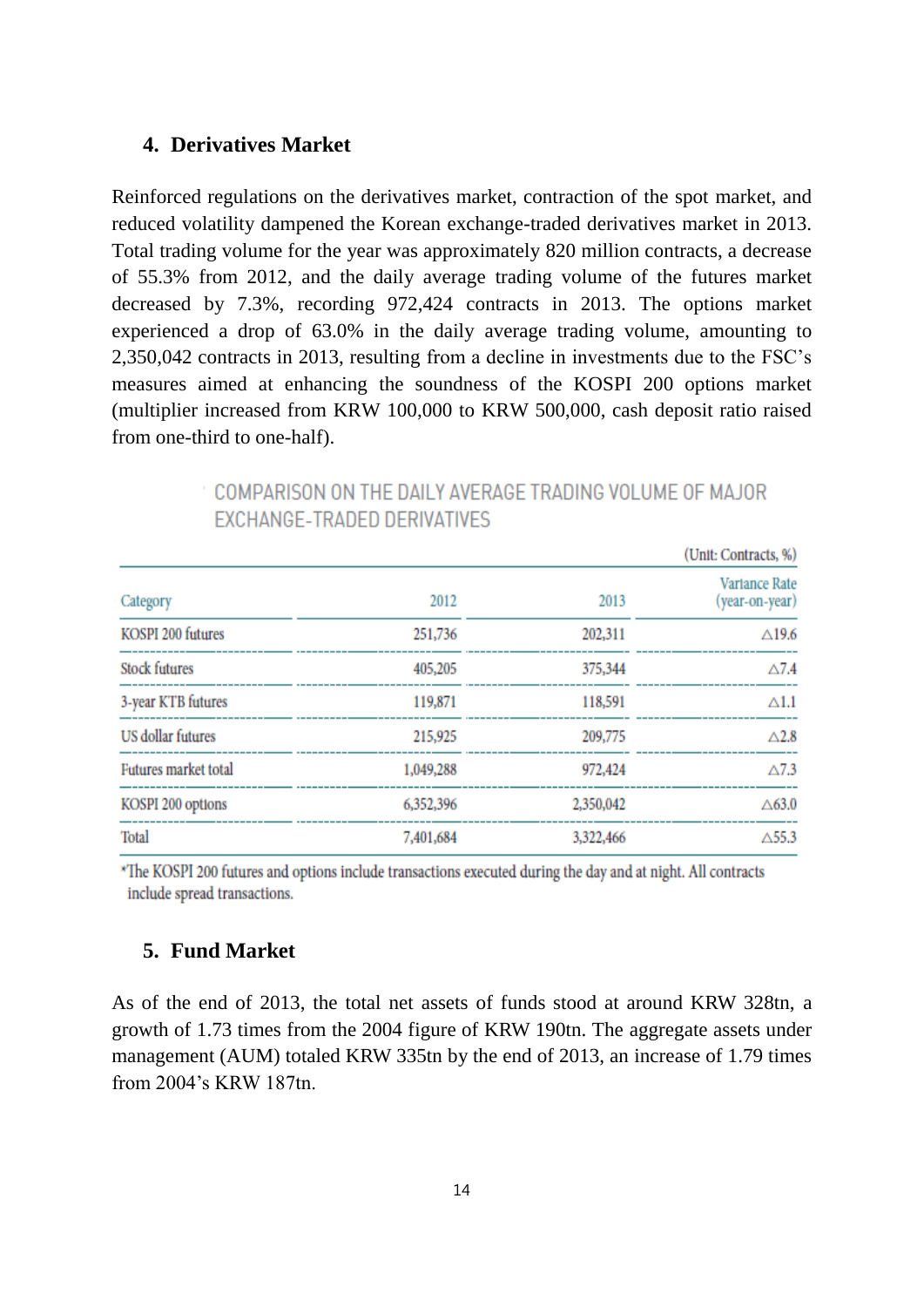#### **4. Derivatives Market**

Reinforced regulations on the derivatives market, contraction of the spot market, and reduced volatility dampened the Korean exchange-traded derivatives market in 2013. Total trading volume for the year was approximately 820 million contracts, a decrease of 55.3% from 2012, and the daily average trading volume of the futures market decreased by 7.3%, recording 972,424 contracts in 2013. The options market experienced a drop of 63.0% in the daily average trading volume, amounting to 2,350,042 contracts in 2013, resulting from a decline in investments due to the FSC's measures aimed at enhancing the soundness of the KOSPI 200 options market (multiplier increased from KRW 100,000 to KRW 500,000, cash deposit ratio raised from one-third to one-half).

|                      |           | (Unit: Contracts, %) |                                 |
|----------------------|-----------|----------------------|---------------------------------|
| Category             | 2012      | 2013                 | Variance Rate<br>(year-on-year) |
| KOSPI 200 futures    | 251,736   | 202,311              | $\triangle$ 19.6                |
| <b>Stock futures</b> | 405,205   | 375,344              | $\triangle 7.4$                 |
| 3-year KTB futures   | 119,871   | 118,591              | $\triangle 1.1$                 |
| US dollar futures    | 215,925   | 209,775              | $\triangle$ 2.8                 |
| Futures market total | 1,049,288 | 972,424              | $\triangle$ 7.3                 |
| KOSPI 200 options    | 6,352,396 | 2,350,042            | $\triangle$ 63.0                |
| Total                | 7,401,684 | 3,322,466            | $\triangle$ 55.3                |

## COMPARISON ON THE DAILY AVERAGE TRADING VOLUME OF MAJOR **FXCHANGE-TRADED DERIVATIVES**

\*The KOSPI 200 futures and options include transactions executed during the day and at night. All contracts include spread transactions.

#### **5. Fund Market**

As of the end of 2013, the total net assets of funds stood at around KRW 328tn, a growth of 1.73 times from the 2004 figure of KRW 190tn. The aggregate assets under management (AUM) totaled KRW 335tn by the end of 2013, an increase of 1.79 times from 2004's KRW 187tn.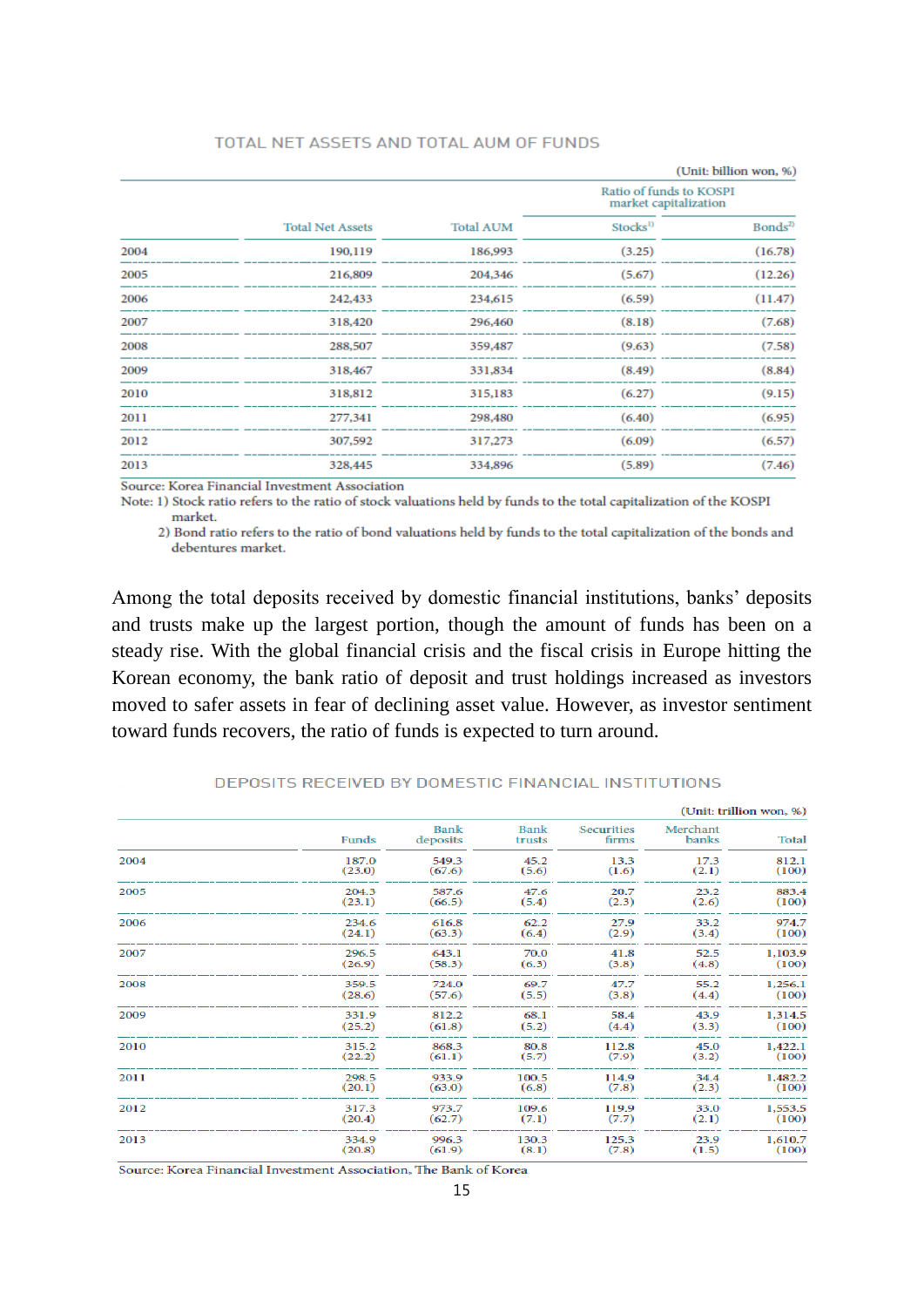#### TOTAL NET ASSETS AND TOTAL AUM OF FUNDS

|      |                         |                  | (Unit: billion won, %)                           |                    |  |  |
|------|-------------------------|------------------|--------------------------------------------------|--------------------|--|--|
|      |                         |                  | Ratio of funds to KOSPI<br>market capitalization |                    |  |  |
|      | <b>Total Net Assets</b> | <b>Total AUM</b> | Stocks <sup>1)</sup>                             | Bonds <sup>2</sup> |  |  |
| 2004 | 190,119                 | 186,993          | (3.25)                                           | (16.78)            |  |  |
| 2005 | 216,809                 | 204,346          | (5.67)                                           | (12.26)            |  |  |
| 2006 | 242,433                 | 234,615          | (6.59)                                           | (11.47)            |  |  |
| 2007 | 318,420                 | 296,460          | (8.18)                                           | (7.68)             |  |  |
| 2008 | 288,507                 | 359,487          | (9.63)                                           | (7.58)             |  |  |
| 2009 | 318,467                 | 331,834          | (8.49)                                           | (8.84)             |  |  |
| 2010 | 318,812                 | 315,183          | (6.27)                                           | (9.15)             |  |  |
| 2011 | 277,341                 | 298,480          | (6.40)                                           | (6.95)             |  |  |
| 2012 | 307,592                 | 317,273          | (6.09)                                           | (6.57)             |  |  |
| 2013 | 328,445                 | 334,896          | (5.89)                                           | (7.46)             |  |  |

Source: Korea Financial Investment Association

Note: 1) Stock ratio refers to the ratio of stock valuations held by funds to the total capitalization of the KOSPI market.

2) Bond ratio refers to the ratio of bond valuations held by funds to the total capitalization of the bonds and debentures market.

Among the total deposits received by domestic financial institutions, banks' deposits and trusts make up the largest portion, though the amount of funds has been on a steady rise. With the global financial crisis and the fiscal crisis in Europe hitting the Korean economy, the bank ratio of deposit and trust holdings increased as investors moved to safer assets in fear of declining asset value. However, as investor sentiment toward funds recovers, the ratio of funds is expected to turn around.

|      |        |                         |                       |                            |                   | (Unit: trillion won, %) |
|------|--------|-------------------------|-----------------------|----------------------------|-------------------|-------------------------|
|      | Funds  | <b>Bank</b><br>deposits | <b>Bank</b><br>trusts | <b>Securities</b><br>firms | Merchant<br>banks | Total                   |
| 2004 | 187.0  | 549.3                   | 45.2                  | 13.3                       | 17.3              | 812.1                   |
|      | (23.0) | (67.6)                  | (5.6)                 | (1.6)                      | (2.1)             | (100)                   |
| 2005 | 204.3  | 587.6                   | 47.6                  | 20.7                       | 23.2              | 883.4                   |
|      | (23.1) | (66.5)                  | (5.4)                 | (2.3)                      | (2.6)             | (100)                   |
| 2006 | 234.6  | 616.8                   | 62.2                  | 27.9                       | 33.2              | 974.7                   |
|      | (24.1) | (63.3)                  | (6.4)                 | (2.9)                      | (3.4)             | (100)                   |
| 2007 | 296.5  | 643.1                   | 70.0                  | 41.8                       | 52.5              | 1,103.9                 |
|      | (26.9) | (58.3)                  | (6.3)                 | (3.8)                      | (4.8)             | (100)                   |
| 2008 | 359.5  | 724.0                   | 69.7                  | 47.7                       | 55.2              | 1,256.1                 |
|      | (28.6) | (57.6)                  | (5.5)                 | (3.8)                      | (4.4)             | (100)                   |
| 2009 | 331.9  | 812.2                   | 68.1                  | 58.4                       | 43.9              | 1,314.5                 |
|      | (25.2) | (61.8)                  | (5.2)                 | (4.4)                      | (3.3)             | (100)                   |
| 2010 | 315.2  | 868.3                   | 80.8                  | 112.8                      | 45.0              | 1,422.1                 |
|      | (22.2) | (61.1)                  | (5.7)                 | (7.9)                      | (3.2)             | (100)                   |
| 2011 | 298.5  | 933.9                   | 100.5                 | 114.9                      | 34.4              | 1,482.2                 |
|      | (20.1) | (63.0)                  | (6.8)                 | (7.8)                      | (2.3)             | (100)                   |
| 2012 | 317.3  | 973.7                   | 109.6                 | 119.9                      | 33.0              | 1,553.5                 |
|      | (20.4) | (62.7)                  | (7.1)                 | (7.7)                      | (2.1)             | (100)                   |
| 2013 | 334.9  | 996.3                   | 130.3                 | 125.3                      | 23.9              | 1,610.7                 |
|      | (20.8) | (61.9)                  | (8.1)                 | (7.8)                      | (1.5)             | (100)                   |

DEPOSITS RECEIVED BY DOMESTIC FINANCIAL INSTITUTIONS

Source: Korea Financial Investment Association, The Bank of Korea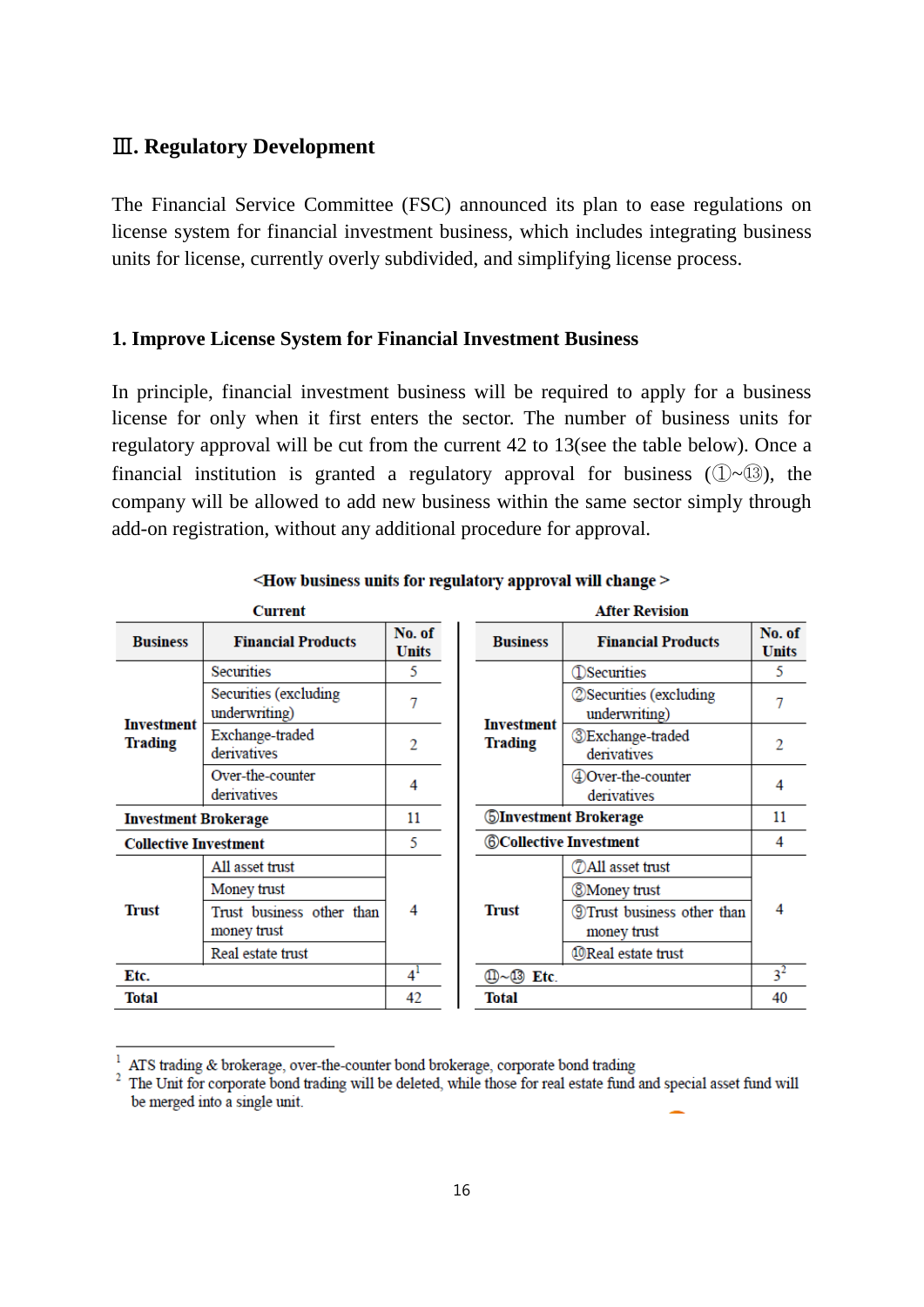#### Ⅲ**. Regulatory Development**

The Financial Service Committee (FSC) announced its plan to ease regulations on license system for financial investment business, which includes integrating business units for license, currently overly subdivided, and simplifying license process.

#### **1. Improve License System for Financial Investment Business**

In principle, financial investment business will be required to apply for a business license for only when it first enters the sector. The number of business units for regulatory approval will be cut from the current 42 to 13(see the table below). Once a financial institution is granted a regulatory approval for business  $(\mathbb{D}\sim\mathbb{B})$ , the company will be allowed to add new business within the same sector simply through add-on registration, without any additional procedure for approval.

| No. of<br><b>Financial Products</b><br><b>Financial Products</b><br><b>Business</b><br><b>Business</b><br><b>Units</b><br><b>Securities</b><br>5<br><b>D</b> Securities<br>Securities (excluding<br><b>2 Securities (excluding</b> | No. of<br><b>Units</b><br>5<br>7 |
|------------------------------------------------------------------------------------------------------------------------------------------------------------------------------------------------------------------------------------|----------------------------------|
|                                                                                                                                                                                                                                    |                                  |
|                                                                                                                                                                                                                                    |                                  |
| 7<br>underwriting)<br>underwriting)<br><b>Investment</b><br><b>Investment</b>                                                                                                                                                      |                                  |
| Exchange-traded<br><b><i><u></u></i></b> Exchange-traded<br><b>Trading</b><br><b>Trading</b><br>2<br>derivatives<br>derivatives                                                                                                    | 2                                |
| Over-the-counter<br>40 Over-the-counter<br>4<br>derivatives<br>derivatives                                                                                                                                                         | 4                                |
| <b>SInvestment Brokerage</b><br>11<br><b>Investment Brokerage</b>                                                                                                                                                                  | 11                               |
| <b>©Collective Investment</b><br>5<br><b>Collective Investment</b>                                                                                                                                                                 | 4                                |
| <b>72 All asset trust</b><br>All asset trust                                                                                                                                                                                       |                                  |
| Money trust<br><b>8 Money trust</b>                                                                                                                                                                                                |                                  |
| <b>Trust</b><br><b>Trust</b><br>4<br><b>9 Trust business other than</b><br>Trust business other than<br>money trust<br>money trust                                                                                                 | 4                                |
| <b>@Real estate trust</b><br>Real estate trust                                                                                                                                                                                     |                                  |
| $4^1$<br>10~13 Etc.<br>Etc.                                                                                                                                                                                                        | 3 <sup>2</sup>                   |
| <b>Total</b><br>42<br><b>Total</b>                                                                                                                                                                                                 | 40                               |

<How business units for regulatory approval will change >

ATS trading & brokerage, over-the-counter bond brokerage, corporate bond trading

<sup>&</sup>lt;sup>2</sup> The Unit for corporate bond trading will be deleted, while those for real estate fund and special asset fund will be merged into a single unit.